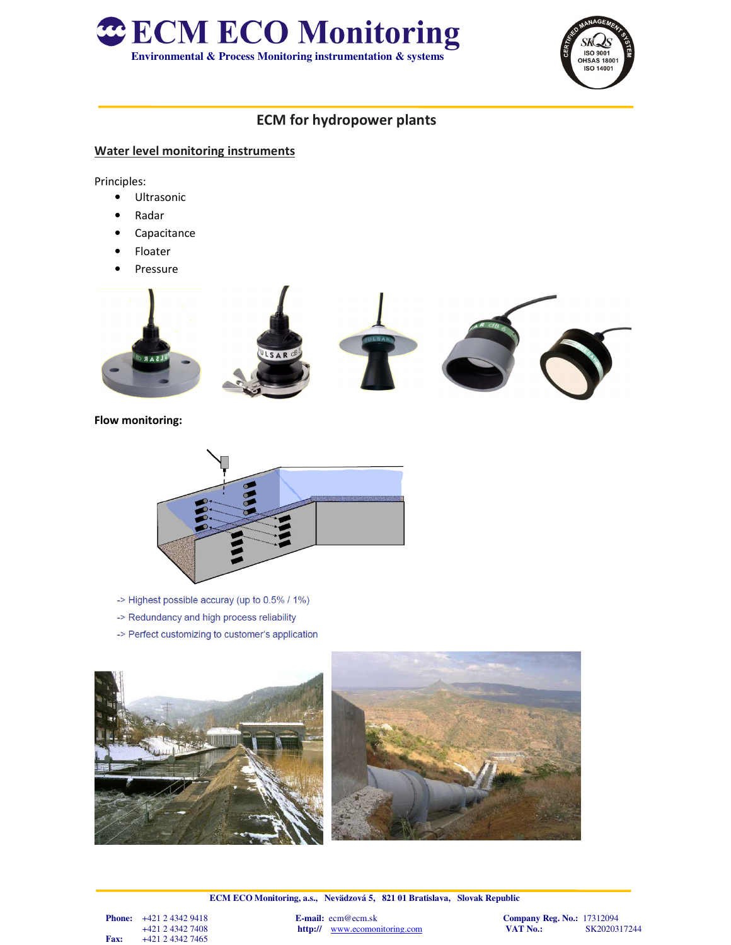



# **ECM for hydropower plants**

### **Water level monitoring instruments**

Principles:

- Ultrasonic
- Radar
- Capacitance
- Floater
- Pressure



**Flow monitoring:** 



- -> Highest possible accuray (up to 0.5% / 1%)
- -> Redundancy and high process reliability
- -> Perfect customizing to customer's application



**ECM ECO Monitoring, a.s., Nevädzová 5, 821 01 Bratislava, Slovak Republic** 

+421 2 4342 7408 **http://** <u>www.ecomonitoring.com</u><br>**Fax:** +421 2 4342 7465  **Fax:** +421 2 4342 7465

**121 2 4342 9418 <b>E-mail: ecm@ecm.sk Company Reg. No.:** 17312094 **121 2 4342 7408 http://** www.ecomonitoring.com **VAT No.: SK2020317244**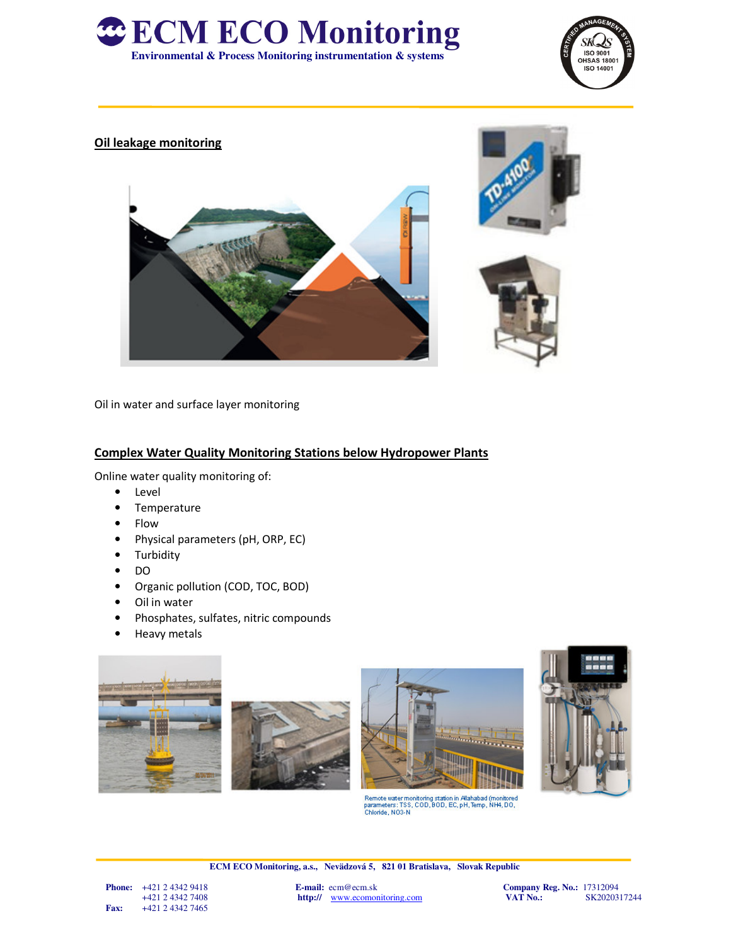



## **Oil leakage monitoring**







Oil in water and surface layer monitoring

## **Complex Water Quality Monitoring Stations below Hydropower Plants**

Online water quality monitoring of:

- Level
- Temperature
- Flow
- Physical parameters (pH, ORP, EC)
- Turbidity
- DO
- Organic pollution (COD, TOC, BOD)
- Oil in water
- Phosphates, sulfates, nitric compounds
- Heavy metals







Remote water monitoring station in Allahabad (monitored<br>parameters: TSS, COD, BOD, EC, pH, Temp, NH4, DO,<br>Chloride, NO3-N

**ECM ECO Monitoring, a.s., Nevädzová 5, 821 01 Bratislava, Slovak Republic** 

| <b>Phone:</b> | +421 2 4342 9418 |
|---------------|------------------|
|               | +421 2 4342 7408 |
| <b>Fax:</b>   | +421 2 4342 7465 |

 $+8$  **http://** <u>www.ecomonitoring.com</u> 5

**E-mail:** ecm@ecm.sk **Company Reg. No.:** 17312094<br> **Reg. 2** 17312094<br> **Reg. 2** 17312094<br> **Reg. 2** 17312094<br> **Reg. 2** 17312094